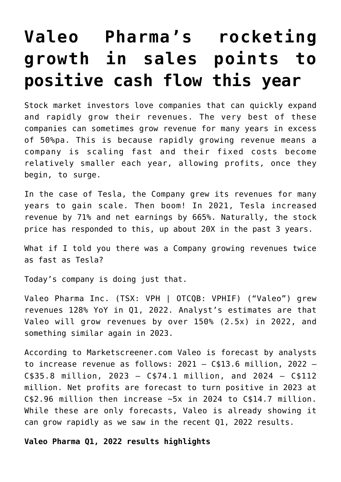# **[Valeo Pharma's rocketing](https://investorintel.com/markets/biotech-healthcare/biotech-intel/valeo-pharmas-rocketing-growth-in-sales-points-to-positive-cash-flow-this-year/) [growth in sales points to](https://investorintel.com/markets/biotech-healthcare/biotech-intel/valeo-pharmas-rocketing-growth-in-sales-points-to-positive-cash-flow-this-year/) [positive cash flow this year](https://investorintel.com/markets/biotech-healthcare/biotech-intel/valeo-pharmas-rocketing-growth-in-sales-points-to-positive-cash-flow-this-year/)**

Stock market investors love companies that can quickly expand and rapidly grow their revenues. The very best of these companies can sometimes grow revenue for many years in excess of 50%pa. This is because rapidly growing revenue means a company is scaling fast and their fixed costs become relatively smaller each year, allowing profits, once they begin, to surge.

In the case of Tesla, the Company grew its revenues for many years to gain scale. Then boom! In 2021, Tesla increased revenue by [71%](https://tesla-cdn.thron.com/static/WIIG2L_TSLA_Q4_2021_Update_O7MYNE.pdf?xseo=&response-content-disposition=inline%3Bfilename%3D%22tsla-q4-and-fy-2021-update.pdf%22) and net earnings by [665%](https://tesla-cdn.thron.com/static/WIIG2L_TSLA_Q4_2021_Update_O7MYNE.pdf?xseo=&response-content-disposition=inline%3Bfilename%3D%22tsla-q4-and-fy-2021-update.pdf%22). Naturally, the stock price has responded to this, up [about 20X](https://finance.yahoo.com/quote/TSLA/) in the past 3 years.

What if I told you there was a Company growing revenues twice as fast as Tesla?

Today's company is doing just that.

[Valeo Pharma Inc.](https://www.valeopharma.com/) (TSX: VPH | OTCQB: VPHIF) ("Valeo") grew revenues [128% YoY in Q1, 2022](https://investorintel.com/markets/biotech-healthcare/biotech-news/valeo-pharma-reports-its-first-quarter-2022-results-and-highlights/). Analyst's estimates are that Valeo will grow revenues by over 150% [\(2.5x\)](https://www.marketscreener.com/quote/stock/VALEO-PHARMA-INC-55074903/financials/) in 2022, and something similar again in 2023.

According to [Marketscreener.com](https://www.marketscreener.com/quote/stock/VALEO-PHARMA-INC-55074903/financials/) Valeo is forecast by analysts to increase revenue as follows: 2021 – C\$13.6 million, 2022 – C\$35.8 million, 2023 – C\$74.1 million, and 2024 – C\$112 million. Net profits are forecast to turn positive in 2023 at C\$2.96 million then increase ~5x in 2024 to C\$14.7 million. While these are only forecasts, Valeo is already showing it can grow rapidly as we saw in the recent [Q1, 2022 results.](https://investorintel.com/markets/biotech-healthcare/biotech-news/valeo-pharma-reports-its-first-quarter-2022-results-and-highlights/)

**Valeo Pharma Q1, 2022 results highlights**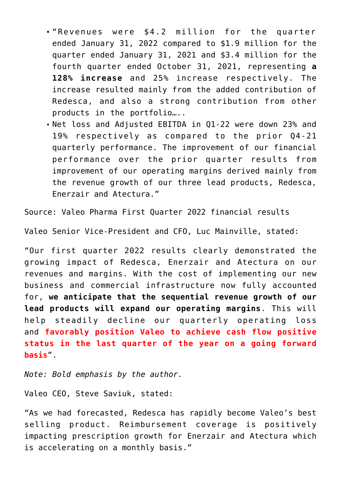- "Revenues were \$4.2 million for the quarter ended January 31, 2022 compared to \$1.9 million for the quarter ended January 31, 2021 and \$3.4 million for the fourth quarter ended October 31, 2021, representing **a 128% increase** and 25% increase respectively. The increase resulted mainly from the added contribution of Redesca, and also a strong contribution from other products in the portfolio…..
- Net loss and Adjusted EBITDA in Q1-22 were down 23% and 19% respectively as compared to the prior Q4-21 quarterly performance. The improvement of our financial performance over the prior quarter results from improvement of our operating margins derived mainly from the revenue growth of our three lead products, Redesca, Enerzair and Atectura."

Source: [Valeo Pharma First Quarter 2022 financial results](https://investorintel.com/markets/biotech-healthcare/biotech-news/valeo-pharma-reports-its-first-quarter-2022-results-and-highlights/)

Valeo Senior Vice-President and CFO, Luc Mainville, [stated:](https://investorintel.com/markets/biotech-healthcare/biotech-news/valeo-pharma-reports-its-first-quarter-2022-results-and-highlights/)

"Our first quarter 2022 results clearly demonstrated the growing impact of Redesca, Enerzair and Atectura on our revenues and margins. With the cost of implementing our new business and commercial infrastructure now fully accounted for, **we anticipate that the sequential revenue growth of our lead products will expand our operating margins**. This will help steadily decline our quarterly operating loss and **favorably position Valeo to achieve cash flow positive status in the last quarter of the year on a going forward basis**".

*Note: Bold emphasis by the author.*

Valeo CEO, Steve Saviuk, [stated](https://investorintel.com/markets/biotech-healthcare/biotech-news/valeo-pharma-reports-its-first-quarter-2022-results-and-highlights/):

"As we had forecasted, Redesca has rapidly become Valeo's best selling product. Reimbursement coverage is positively impacting prescription growth for Enerzair and Atectura which is accelerating on a monthly basis."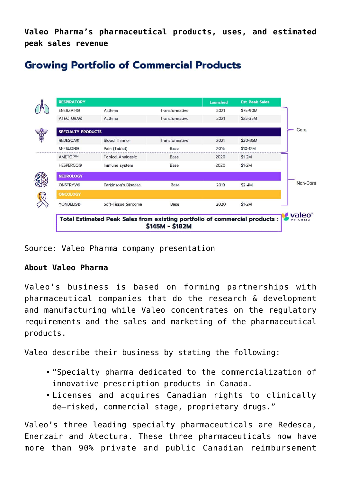**Valeo Pharma's pharmaceutical products, uses, and estimated peak sales revenue**

## **Growing Portfolio of Commercial Products**



Source: [Valeo Pharma company presentation](https://secureservercdn.net/198.71.233.45/w3r.34e.myftpupload.com/wp-content/uploads/2022/01/Valeo-Corporate-Presentation-January-2022.pdf)

### **About Valeo Pharma**

Valeo's business is based on forming partnerships with pharmaceutical companies that do the research & development and manufacturing while Valeo concentrates on the regulatory requirements and the sales and marketing of the pharmaceutical products.

Valeo describe their business by stating the following:

- "Specialty pharma dedicated to the commercialization of innovative prescription products in Canada.
- Licenses and acquires Canadian rights to clinically de–risked, commercial stage, proprietary drugs."

Valeo's three leading specialty pharmaceuticals are Redesca, Enerzair and Atectura. These three pharmaceuticals now have [more than 90%](https://investorintel.com/markets/biotech-healthcare/biotech-news/valeo-pharma-reports-its-first-quarter-2022-results-and-highlights/) private and public Canadian reimbursement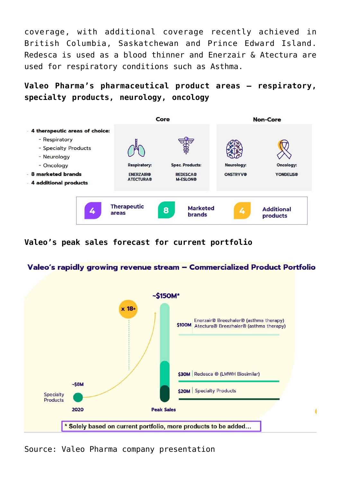coverage, with [additional coverage recently achieved](https://investorintel.com/markets/biotech-healthcare/biotech-news/valeo-pharma-secures-additional-public-reimbursement-for-redesca-enerzair-breezhaler-and-atectura-breezhaler/) in British Columbia, Saskatchewan and Prince Edward Island. Redesca is used as a blood thinner and Enerzair & Atectura are used for respiratory conditions such as Asthma.

**Valeo Pharma's pharmaceutical product areas – respiratory, specialty products, neurology, oncology**



**Valeo's peak sales forecast for current portfolio**

#### Valeo's rapidly growing revenue stream - Commercialized Product Portfolio



Source: [Valeo Pharma company presentation](https://secureservercdn.net/198.71.233.45/w3r.34e.myftpupload.com/wp-content/uploads/2022/01/Valeo-Corporate-Presentation-January-2022.pdf)